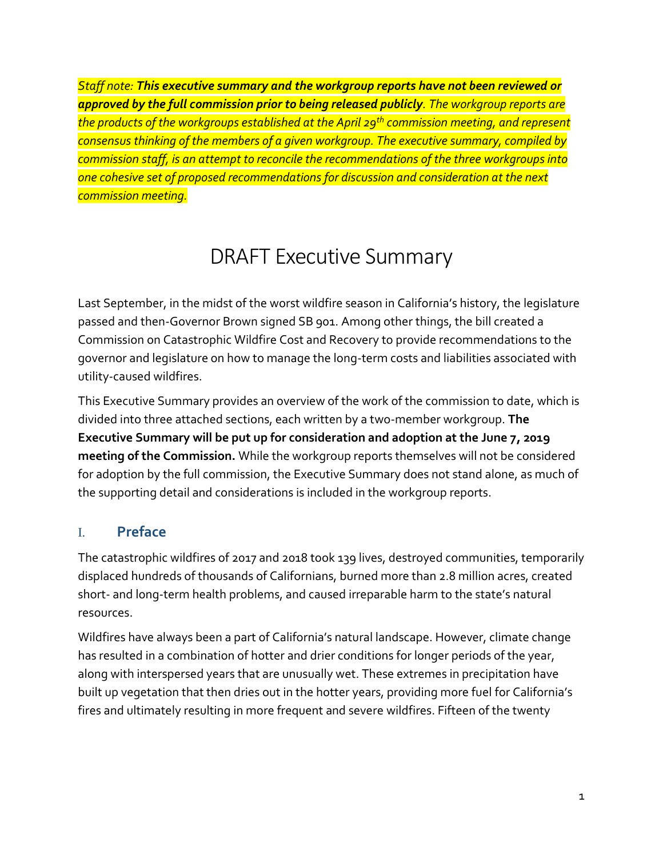*Staff note: This executive summary and the workgroup reports have not been reviewed or approved by the full commission prior to being released publicly. The workgroup reports are the products of the workgroups established at the April 29th commission meeting, and represent consensus thinking of the members of a given workgroup. The executive summary, compiled by commission staff, is an attempt to reconcile the recommendations of the three workgroups into one cohesive set of proposed recommendations for discussion and consideration at the next commission meeting.*

# DRAFT Executive Summary

Last September, in the midst of the worst wildfire season in California's history, the legislature passed and then-Governor Brown signed SB 901. Among other things, the bill created a Commission on Catastrophic Wildfire Cost and Recovery to provide recommendations to the governor and legislature on how to manage the long-term costs and liabilities associated with utility-caused wildfires.

This Executive Summary provides an overview of the work of the commission to date, which is divided into three attached sections, each written by a two-member workgroup. **The Executive Summary will be put up for consideration and adoption at the June 7, 2019 meeting of the Commission.** While the workgroup reports themselves will not be considered for adoption by the full commission, the Executive Summary does not stand alone, as much of the supporting detail and considerations is included in the workgroup reports.

## I. **Preface**

The catastrophic wildfires of 2017 and 2018 took 139 lives, destroyed communities, temporarily displaced hundreds of thousands of Californians, burned more than 2.8 million acres, created short- and long-term health problems, and caused irreparable harm to the state's natural resources.

Wildfires have always been a part of California's natural landscape. However, climate change has resulted in a combination of hotter and drier conditions for longer periods of the year, along with interspersed years that are unusually wet. These extremes in precipitation have built up vegetation that then dries out in the hotter years, providing more fuel for California's fires and ultimately resulting in more frequent and severe wildfires. Fifteen of the twenty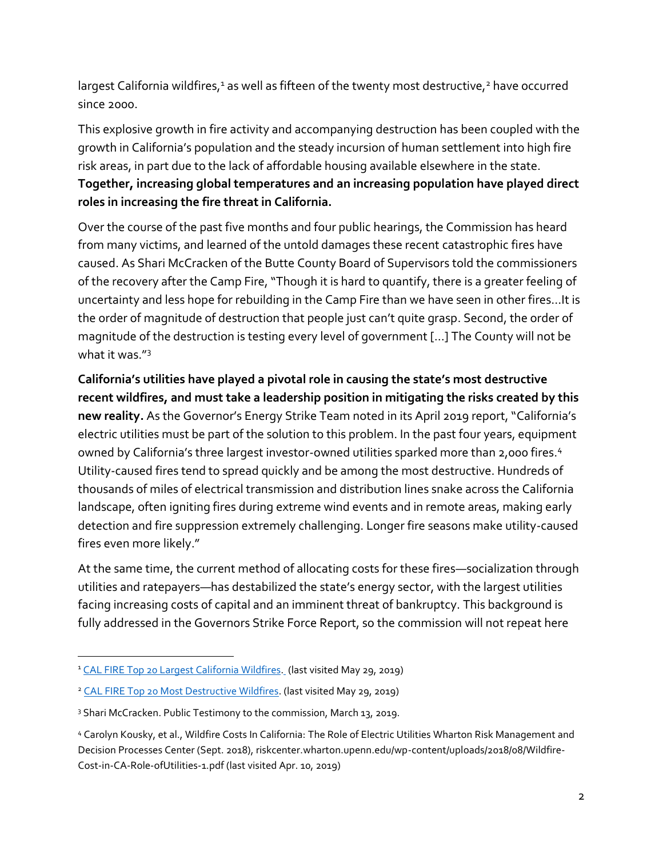largest California wildfires,<sup>1</sup> as well as fifteen of the twenty most destructive,<sup>2</sup> have occurred since 2000.

This explosive growth in fire activity and accompanying destruction has been coupled with the growth in California's population and the steady incursion of human settlement into high fire risk areas, in part due to the lack of affordable housing available elsewhere in the state. **Together, increasing global temperatures and an increasing population have played direct roles in increasing the fire threat in California.**

Over the course of the past five months and four public hearings, the Commission has heard from many victims, and learned of the untold damages these recent catastrophic fires have caused. As Shari McCracken of the Butte County Board of Supervisors told the commissioners of the recovery after the Camp Fire, "Though it is hard to quantify, there is a greater feeling of uncertainty and less hope for rebuilding in the Camp Fire than we have seen in other fires…It is the order of magnitude of destruction that people just can't quite grasp. Second, the order of magnitude of the destruction is testing every level of government […] The County will not be what it was."<sup>3</sup>

**California's utilities have played a pivotal role in causing the state's most destructive recent wildfires, and must take a leadership position in mitigating the risks created by this new reality.** As the Governor's Energy Strike Team noted in its April 2019 report, "California's electric utilities must be part of the solution to this problem. In the past four years, equipment owned by California's three largest investor-owned utilities sparked more than 2,000 fires.<sup>4</sup> Utility-caused fires tend to spread quickly and be among the most destructive. Hundreds of thousands of miles of electrical transmission and distribution lines snake across the California landscape, often igniting fires during extreme wind events and in remote areas, making early detection and fire suppression extremely challenging. Longer fire seasons make utility-caused fires even more likely."

At the same time, the current method of allocating costs for these fires—socialization through utilities and ratepayers—has destabilized the state's energy sector, with the largest utilities facing increasing costs of capital and an imminent threat of bankruptcy. This background is fully addressed in the Governors Strike Force Report, so the commission will not repeat here

 $\overline{a}$ 

<sup>&</sup>lt;sup>1</sup> [CAL FIRE Top 20 Largest California Wildfires.](https://www.fire.ca.gov/communications/downloads/fact_sheets/Top20_Acres.pdf) (last visited May 29, 2019)

<sup>&</sup>lt;sup>2</sup> [CAL FIRE Top 20 Most Destructive Wildfires.](http://www.fire.ca.gov/communications/downloads/fact_sheets/Top20_Destruction.pdf) (last visited May 29, 2019)

<sup>&</sup>lt;sup>3</sup> Shari McCracken. Public Testimony to the commission, March 13, 2019.

<sup>4</sup> Carolyn Kousky, et al., Wildfire Costs In California: The Role of Electric Utilities Wharton Risk Management and Decision Processes Center (Sept. 2018), riskcenter.wharton.upenn.edu/wp-content/uploads/2018/08/Wildfire-Cost-in-CA-Role-ofUtilities-1.pdf (last visited Apr. 10, 2019)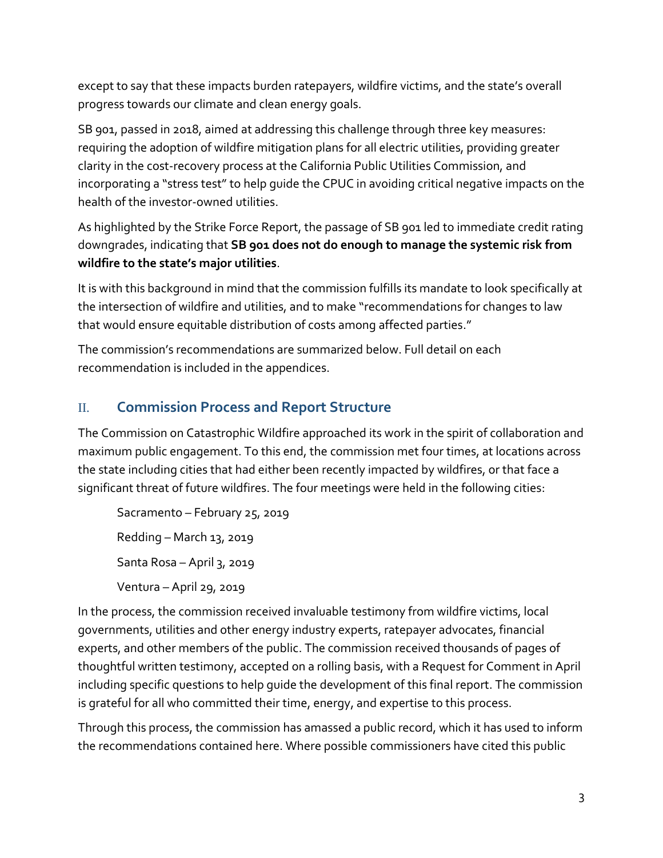except to say that these impacts burden ratepayers, wildfire victims, and the state's overall progress towards our climate and clean energy goals.

SB 901, passed in 2018, aimed at addressing this challenge through three key measures: requiring the adoption of wildfire mitigation plans for all electric utilities, providing greater clarity in the cost-recovery process at the California Public Utilities Commission, and incorporating a "stress test" to help guide the CPUC in avoiding critical negative impacts on the health of the investor-owned utilities.

As highlighted by the Strike Force Report, the passage of SB 901 led to immediate credit rating downgrades, indicating that **SB 901 does not do enough to manage the systemic risk from wildfire to the state's major utilities**.

It is with this background in mind that the commission fulfills its mandate to look specifically at the intersection of wildfire and utilities, and to make "recommendations for changes to law that would ensure equitable distribution of costs among affected parties."

The commission's recommendations are summarized below. Full detail on each recommendation is included in the appendices.

## II. **Commission Process and Report Structure**

The Commission on Catastrophic Wildfire approached its work in the spirit of collaboration and maximum public engagement. To this end, the commission met four times, at locations across the state including cities that had either been recently impacted by wildfires, or that face a significant threat of future wildfires. The four meetings were held in the following cities:

Sacramento – February 25, 2019 Redding – March 13, 2019

Santa Rosa – April 3, 2019

Ventura – April 29, 2019

In the process, the commission received invaluable testimony from wildfire victims, local governments, utilities and other energy industry experts, ratepayer advocates, financial experts, and other members of the public. The commission received thousands of pages of thoughtful written testimony, accepted on a rolling basis, with a Request for Comment in April including specific questions to help guide the development of this final report. The commission is grateful for all who committed their time, energy, and expertise to this process.

Through this process, the commission has amassed a public record, which it has used to inform the recommendations contained here. Where possible commissioners have cited this public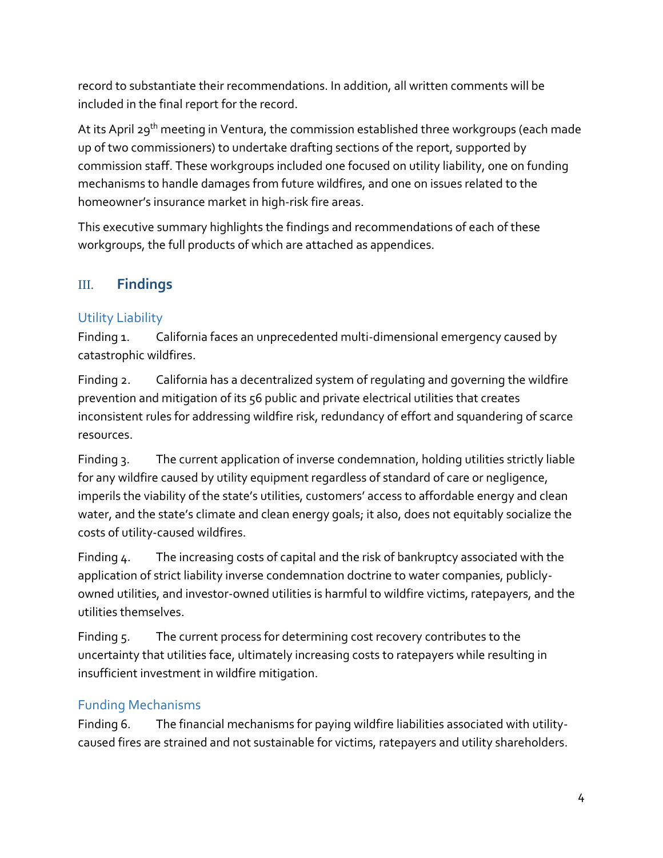record to substantiate their recommendations. In addition, all written comments will be included in the final report for the record.

At its April 29<sup>th</sup> meeting in Ventura, the commission established three workgroups (each made up of two commissioners) to undertake drafting sections of the report, supported by commission staff. These workgroups included one focused on utility liability, one on funding mechanisms to handle damages from future wildfires, and one on issues related to the homeowner's insurance market in high-risk fire areas.

This executive summary highlights the findings and recommendations of each of these workgroups, the full products of which are attached as appendices.

## III. **Findings**

### Utility Liability

Finding 1. California faces an unprecedented multi-dimensional emergency caused by catastrophic wildfires.

Finding 2. California has a decentralized system of regulating and governing the wildfire prevention and mitigation of its 56 public and private electrical utilities that creates inconsistent rules for addressing wildfire risk, redundancy of effort and squandering of scarce resources.

Finding 3. The current application of inverse condemnation, holding utilities strictly liable for any wildfire caused by utility equipment regardless of standard of care or negligence, imperils the viability of the state's utilities, customers' access to affordable energy and clean water, and the state's climate and clean energy goals; it also, does not equitably socialize the costs of utility-caused wildfires.

Finding 4. The increasing costs of capital and the risk of bankruptcy associated with the application of strict liability inverse condemnation doctrine to water companies, publiclyowned utilities, and investor-owned utilities is harmful to wildfire victims, ratepayers, and the utilities themselves.

Finding 5. The current process for determining cost recovery contributes to the uncertainty that utilities face, ultimately increasing costs to ratepayers while resulting in insufficient investment in wildfire mitigation.

## Funding Mechanisms

Finding 6. The financial mechanisms for paying wildfire liabilities associated with utilitycaused fires are strained and not sustainable for victims, ratepayers and utility shareholders.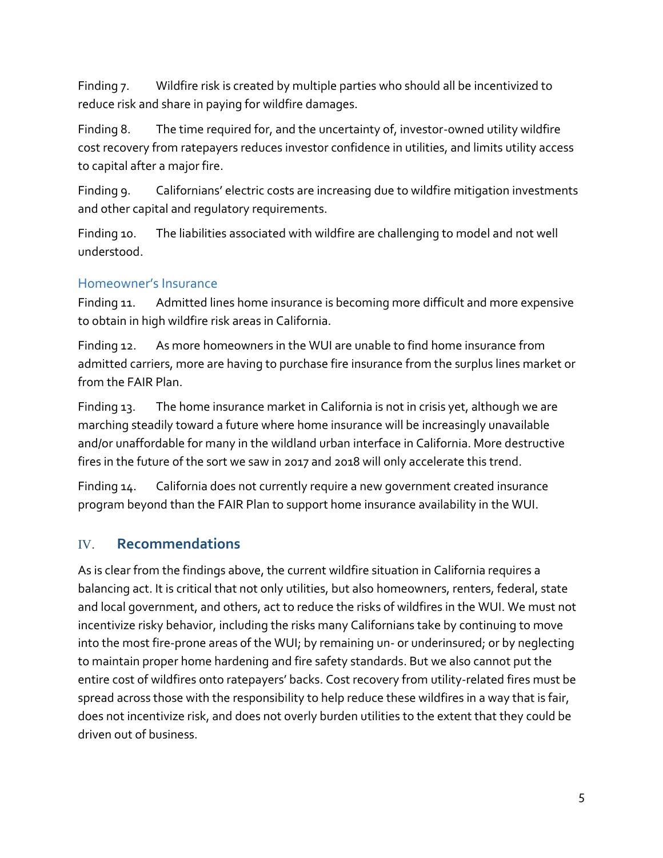Finding 7. Wildfire risk is created by multiple parties who should all be incentivized to reduce risk and share in paying for wildfire damages.

Finding 8. The time required for, and the uncertainty of, investor-owned utility wildfire cost recovery from ratepayers reduces investor confidence in utilities, and limits utility access to capital after a major fire.

Finding 9. Californians' electric costs are increasing due to wildfire mitigation investments and other capital and regulatory requirements.

Finding 10. The liabilities associated with wildfire are challenging to model and not well understood.

#### Homeowner's Insurance

Finding 11. Admitted lines home insurance is becoming more difficult and more expensive to obtain in high wildfire risk areas in California.

Finding 12. As more homeowners in the WUI are unable to find home insurance from admitted carriers, more are having to purchase fire insurance from the surplus lines market or from the FAIR Plan.

Finding 13. The home insurance market in California is not in crisis yet, although we are marching steadily toward a future where home insurance will be increasingly unavailable and/or unaffordable for many in the wildland urban interface in California. More destructive fires in the future of the sort we saw in 2017 and 2018 will only accelerate this trend.

Finding 14. California does not currently require a new government created insurance program beyond than the FAIR Plan to support home insurance availability in the WUI.

## IV. **Recommendations**

As is clear from the findings above, the current wildfire situation in California requires a balancing act. It is critical that not only utilities, but also homeowners, renters, federal, state and local government, and others, act to reduce the risks of wildfires in the WUI. We must not incentivize risky behavior, including the risks many Californians take by continuing to move into the most fire-prone areas of the WUI; by remaining un- or underinsured; or by neglecting to maintain proper home hardening and fire safety standards. But we also cannot put the entire cost of wildfires onto ratepayers' backs. Cost recovery from utility-related fires must be spread across those with the responsibility to help reduce these wildfires in a way that is fair, does not incentivize risk, and does not overly burden utilities to the extent that they could be driven out of business.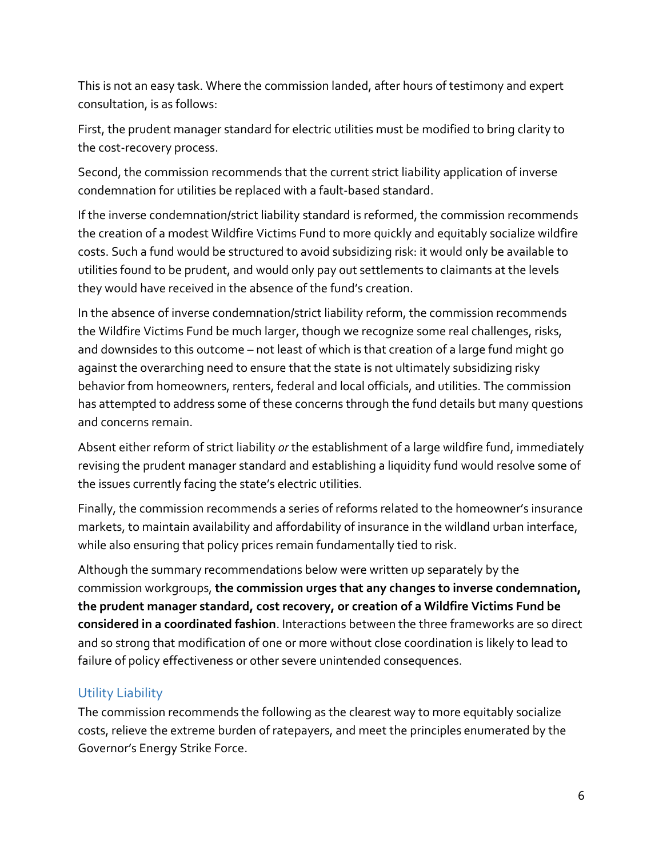This is not an easy task. Where the commission landed, after hours of testimony and expert consultation, is as follows:

First, the prudent manager standard for electric utilities must be modified to bring clarity to the cost-recovery process.

Second, the commission recommends that the current strict liability application of inverse condemnation for utilities be replaced with a fault-based standard.

If the inverse condemnation/strict liability standard is reformed, the commission recommends the creation of a modest Wildfire Victims Fund to more quickly and equitably socialize wildfire costs. Such a fund would be structured to avoid subsidizing risk: it would only be available to utilities found to be prudent, and would only pay out settlements to claimants at the levels they would have received in the absence of the fund's creation.

In the absence of inverse condemnation/strict liability reform, the commission recommends the Wildfire Victims Fund be much larger, though we recognize some real challenges, risks, and downsides to this outcome – not least of which is that creation of a large fund might go against the overarching need to ensure that the state is not ultimately subsidizing risky behavior from homeowners, renters, federal and local officials, and utilities. The commission has attempted to address some of these concerns through the fund details but many questions and concerns remain.

Absent either reform of strict liability *or* the establishment of a large wildfire fund, immediately revising the prudent manager standard and establishing a liquidity fund would resolve some of the issues currently facing the state's electric utilities.

Finally, the commission recommends a series of reforms related to the homeowner's insurance markets, to maintain availability and affordability of insurance in the wildland urban interface, while also ensuring that policy prices remain fundamentally tied to risk.

Although the summary recommendations below were written up separately by the commission workgroups, **the commission urges that any changes to inverse condemnation, the prudent manager standard, cost recovery, or creation of a Wildfire Victims Fund be considered in a coordinated fashion**. Interactions between the three frameworks are so direct and so strong that modification of one or more without close coordination is likely to lead to failure of policy effectiveness or other severe unintended consequences.

#### Utility Liability

The commission recommends the following as the clearest way to more equitably socialize costs, relieve the extreme burden of ratepayers, and meet the principles enumerated by the Governor's Energy Strike Force.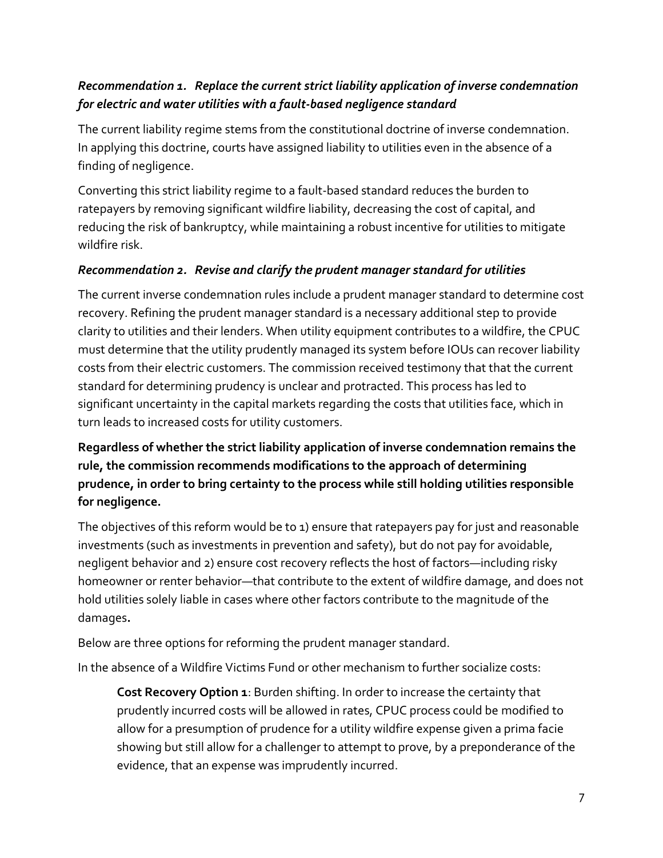## *Recommendation 1. Replace the current strict liability application of inverse condemnation for electric and water utilities with a fault-based negligence standard*

The current liability regime stems from the constitutional doctrine of inverse condemnation. In applying this doctrine, courts have assigned liability to utilities even in the absence of a finding of negligence.

Converting this strict liability regime to a fault-based standard reduces the burden to ratepayers by removing significant wildfire liability, decreasing the cost of capital, and reducing the risk of bankruptcy, while maintaining a robust incentive for utilities to mitigate wildfire risk.

#### *Recommendation 2. Revise and clarify the prudent manager standard for utilities*

The current inverse condemnation rules include a prudent manager standard to determine cost recovery. Refining the prudent manager standard is a necessary additional step to provide clarity to utilities and their lenders. When utility equipment contributes to a wildfire, the CPUC must determine that the utility prudently managed its system before IOUs can recover liability costs from their electric customers. The commission received testimony that that the current standard for determining prudency is unclear and protracted. This process has led to significant uncertainty in the capital markets regarding the costs that utilities face, which in turn leads to increased costs for utility customers.

**Regardless of whether the strict liability application of inverse condemnation remains the rule, the commission recommends modifications to the approach of determining prudence, in order to bring certainty to the process while still holding utilities responsible for negligence.** 

The objectives of this reform would be to 1) ensure that ratepayers pay for just and reasonable investments (such as investments in prevention and safety), but do not pay for avoidable, negligent behavior and 2) ensure cost recovery reflects the host of factors—including risky homeowner or renter behavior—that contribute to the extent of wildfire damage, and does not hold utilities solely liable in cases where other factors contribute to the magnitude of the damages**.**

Below are three options for reforming the prudent manager standard.

In the absence of a Wildfire Victims Fund or other mechanism to further socialize costs:

**Cost Recovery Option 1**: Burden shifting. In order to increase the certainty that prudently incurred costs will be allowed in rates, CPUC process could be modified to allow for a presumption of prudence for a utility wildfire expense given a prima facie showing but still allow for a challenger to attempt to prove, by a preponderance of the evidence, that an expense was imprudently incurred.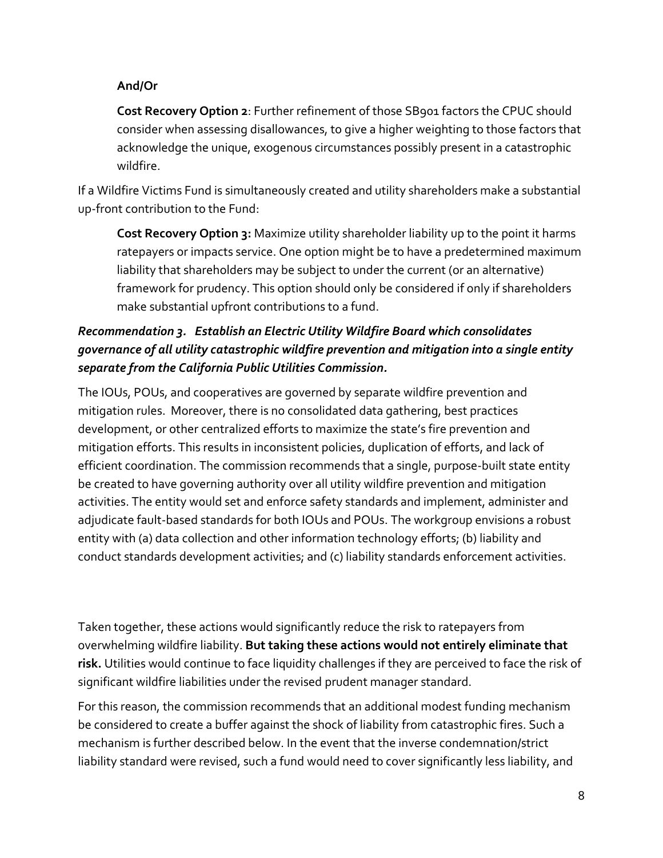#### **And/Or**

**Cost Recovery Option 2**: Further refinement of those SB901 factors the CPUC should consider when assessing disallowances, to give a higher weighting to those factors that acknowledge the unique, exogenous circumstances possibly present in a catastrophic wildfire.

If a Wildfire Victims Fund is simultaneously created and utility shareholders make a substantial up-front contribution to the Fund:

**Cost Recovery Option 3:** Maximize utility shareholder liability up to the point it harms ratepayers or impacts service. One option might be to have a predetermined maximum liability that shareholders may be subject to under the current (or an alternative) framework for prudency. This option should only be considered if only if shareholders make substantial upfront contributions to a fund.

## *Recommendation 3. Establish an Electric Utility Wildfire Board which consolidates governance of all utility catastrophic wildfire prevention and mitigation into a single entity separate from the California Public Utilities Commission.*

The IOUs, POUs, and cooperatives are governed by separate wildfire prevention and mitigation rules. Moreover, there is no consolidated data gathering, best practices development, or other centralized efforts to maximize the state's fire prevention and mitigation efforts. This results in inconsistent policies, duplication of efforts, and lack of efficient coordination. The commission recommends that a single, purpose-built state entity be created to have governing authority over all utility wildfire prevention and mitigation activities. The entity would set and enforce safety standards and implement, administer and adjudicate fault-based standards for both IOUs and POUs. The workgroup envisions a robust entity with (a) data collection and other information technology efforts; (b) liability and conduct standards development activities; and (c) liability standards enforcement activities.

Taken together, these actions would significantly reduce the risk to ratepayers from overwhelming wildfire liability. **But taking these actions would not entirely eliminate that risk.** Utilities would continue to face liquidity challenges if they are perceived to face the risk of significant wildfire liabilities under the revised prudent manager standard.

For this reason, the commission recommends that an additional modest funding mechanism be considered to create a buffer against the shock of liability from catastrophic fires. Such a mechanism is further described below. In the event that the inverse condemnation/strict liability standard were revised, such a fund would need to cover significantly less liability, and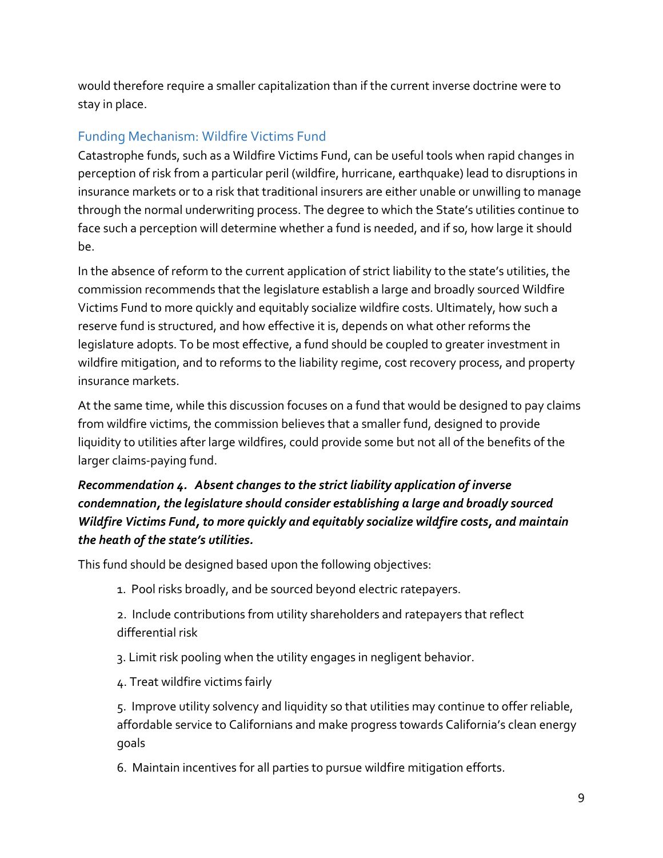would therefore require a smaller capitalization than if the current inverse doctrine were to stay in place.

## Funding Mechanism: Wildfire Victims Fund

Catastrophe funds, such as a Wildfire Victims Fund, can be useful tools when rapid changes in perception of risk from a particular peril (wildfire, hurricane, earthquake) lead to disruptions in insurance markets or to a risk that traditional insurers are either unable or unwilling to manage through the normal underwriting process. The degree to which the State's utilities continue to face such a perception will determine whether a fund is needed, and if so, how large it should be.

In the absence of reform to the current application of strict liability to the state's utilities, the commission recommends that the legislature establish a large and broadly sourced Wildfire Victims Fund to more quickly and equitably socialize wildfire costs. Ultimately, how such a reserve fund is structured, and how effective it is, depends on what other reforms the legislature adopts. To be most effective, a fund should be coupled to greater investment in wildfire mitigation, and to reforms to the liability regime, cost recovery process, and property insurance markets.

At the same time, while this discussion focuses on a fund that would be designed to pay claims from wildfire victims, the commission believes that a smaller fund, designed to provide liquidity to utilities after large wildfires, could provide some but not all of the benefits of the larger claims-paying fund.

## *Recommendation 4. Absent changes to the strict liability application of inverse condemnation, the legislature should consider establishing a large and broadly sourced Wildfire Victims Fund, to more quickly and equitably socialize wildfire costs, and maintain the heath of the state's utilities.*

This fund should be designed based upon the following objectives:

- 1. Pool risks broadly, and be sourced beyond electric ratepayers.
- 2. Include contributions from utility shareholders and ratepayers that reflect differential risk
- 3. Limit risk pooling when the utility engages in negligent behavior.
- 4. Treat wildfire victims fairly

5. Improve utility solvency and liquidity so that utilities may continue to offer reliable, affordable service to Californians and make progress towards California's clean energy goals

6. Maintain incentives for all parties to pursue wildfire mitigation efforts.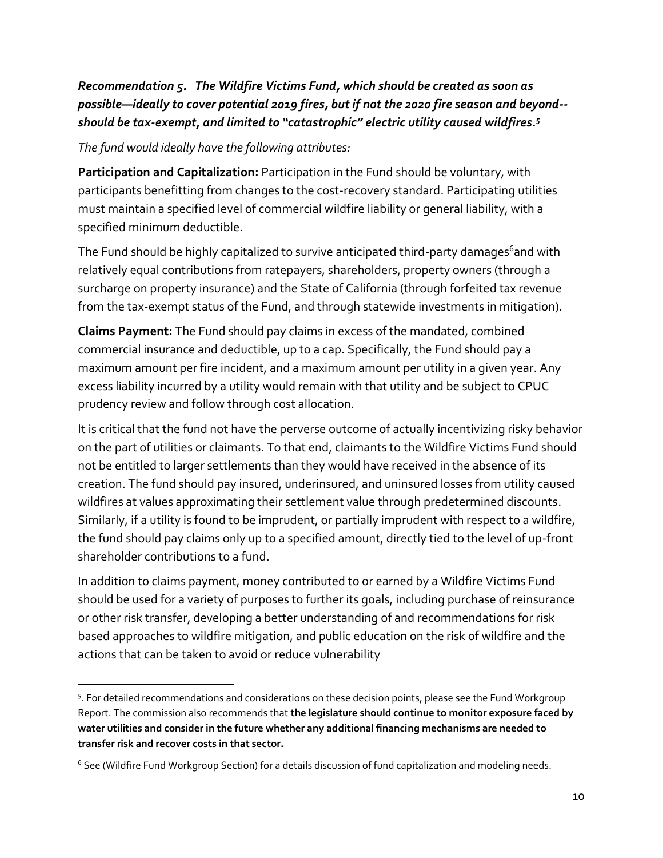## *Recommendation 5. The Wildfire Victims Fund, which should be created as soon as possible—ideally to cover potential 2019 fires, but if not the 2020 fire season and beyond- should be tax-exempt, and limited to "catastrophic" electric utility caused wildfires. 5*

*The fund would ideally have the following attributes:*

 $\overline{a}$ 

**Participation and Capitalization:** Participation in the Fund should be voluntary, with participants benefitting from changes to the cost-recovery standard. Participating utilities must maintain a specified level of commercial wildfire liability or general liability, with a specified minimum deductible.

The Fund should be highly capitalized to survive anticipated third-party damages<sup>6</sup>and with relatively equal contributions from ratepayers, shareholders, property owners (through a surcharge on property insurance) and the State of California (through forfeited tax revenue from the tax-exempt status of the Fund, and through statewide investments in mitigation).

**Claims Payment:** The Fund should pay claims in excess of the mandated, combined commercial insurance and deductible, up to a cap. Specifically, the Fund should pay a maximum amount per fire incident, and a maximum amount per utility in a given year. Any excess liability incurred by a utility would remain with that utility and be subject to CPUC prudency review and follow through cost allocation.

It is critical that the fund not have the perverse outcome of actually incentivizing risky behavior on the part of utilities or claimants. To that end, claimants to the Wildfire Victims Fund should not be entitled to larger settlements than they would have received in the absence of its creation. The fund should pay insured, underinsured, and uninsured losses from utility caused wildfires at values approximating their settlement value through predetermined discounts. Similarly, if a utility is found to be imprudent, or partially imprudent with respect to a wildfire, the fund should pay claims only up to a specified amount, directly tied to the level of up-front shareholder contributions to a fund.

In addition to claims payment, money contributed to or earned by a Wildfire Victims Fund should be used for a variety of purposes to further its goals, including purchase of reinsurance or other risk transfer, developing a better understanding of and recommendations for risk based approaches to wildfire mitigation, and public education on the risk of wildfire and the actions that can be taken to avoid or reduce vulnerability

<sup>&</sup>lt;sup>5</sup>. For detailed recommendations and considerations on these decision points, please see the Fund Workgroup Report. The commission also recommends that **the legislature should continue to monitor exposure faced by water utilities and consider in the future whether any additional financing mechanisms are needed to transfer risk and recover costs in that sector.**

<sup>6</sup> See (Wildfire Fund Workgroup Section) for a details discussion of fund capitalization and modeling needs.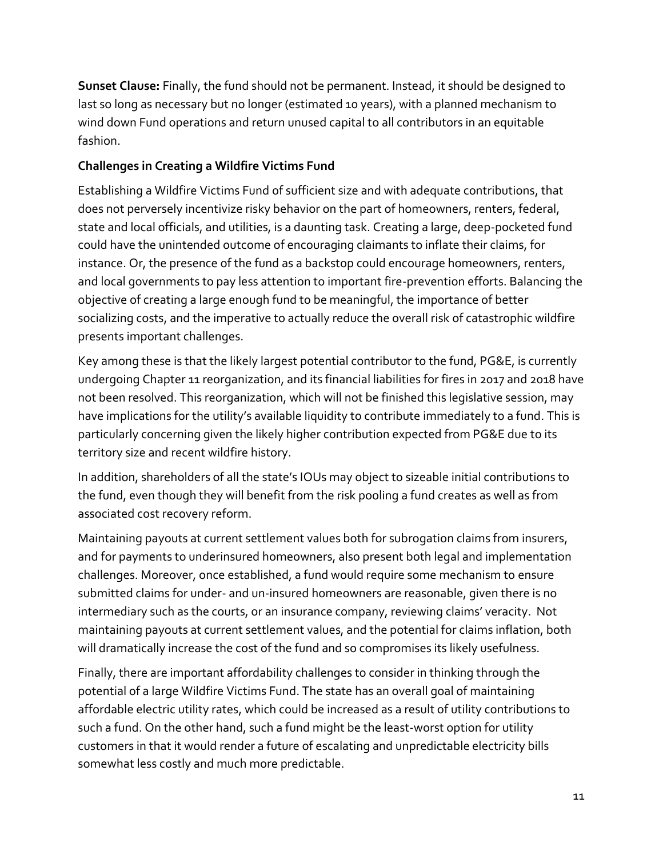**Sunset Clause:** Finally, the fund should not be permanent. Instead, it should be designed to last so long as necessary but no longer (estimated 10 years), with a planned mechanism to wind down Fund operations and return unused capital to all contributors in an equitable fashion.

#### **Challenges in Creating a Wildfire Victims Fund**

Establishing a Wildfire Victims Fund of sufficient size and with adequate contributions, that does not perversely incentivize risky behavior on the part of homeowners, renters, federal, state and local officials, and utilities, is a daunting task. Creating a large, deep-pocketed fund could have the unintended outcome of encouraging claimants to inflate their claims, for instance. Or, the presence of the fund as a backstop could encourage homeowners, renters, and local governments to pay less attention to important fire-prevention efforts. Balancing the objective of creating a large enough fund to be meaningful, the importance of better socializing costs, and the imperative to actually reduce the overall risk of catastrophic wildfire presents important challenges.

Key among these is that the likely largest potential contributor to the fund, PG&E, is currently undergoing Chapter 11 reorganization, and its financial liabilities for fires in 2017 and 2018 have not been resolved. This reorganization, which will not be finished this legislative session, may have implications for the utility's available liquidity to contribute immediately to a fund. This is particularly concerning given the likely higher contribution expected from PG&E due to its territory size and recent wildfire history.

In addition, shareholders of all the state's IOUs may object to sizeable initial contributions to the fund, even though they will benefit from the risk pooling a fund creates as well as from associated cost recovery reform.

Maintaining payouts at current settlement values both for subrogation claims from insurers, and for payments to underinsured homeowners, also present both legal and implementation challenges. Moreover, once established, a fund would require some mechanism to ensure submitted claims for under- and un-insured homeowners are reasonable, given there is no intermediary such as the courts, or an insurance company, reviewing claims' veracity. Not maintaining payouts at current settlement values, and the potential for claims inflation, both will dramatically increase the cost of the fund and so compromises its likely usefulness.

Finally, there are important affordability challenges to consider in thinking through the potential of a large Wildfire Victims Fund. The state has an overall goal of maintaining affordable electric utility rates, which could be increased as a result of utility contributions to such a fund. On the other hand, such a fund might be the least-worst option for utility customers in that it would render a future of escalating and unpredictable electricity bills somewhat less costly and much more predictable.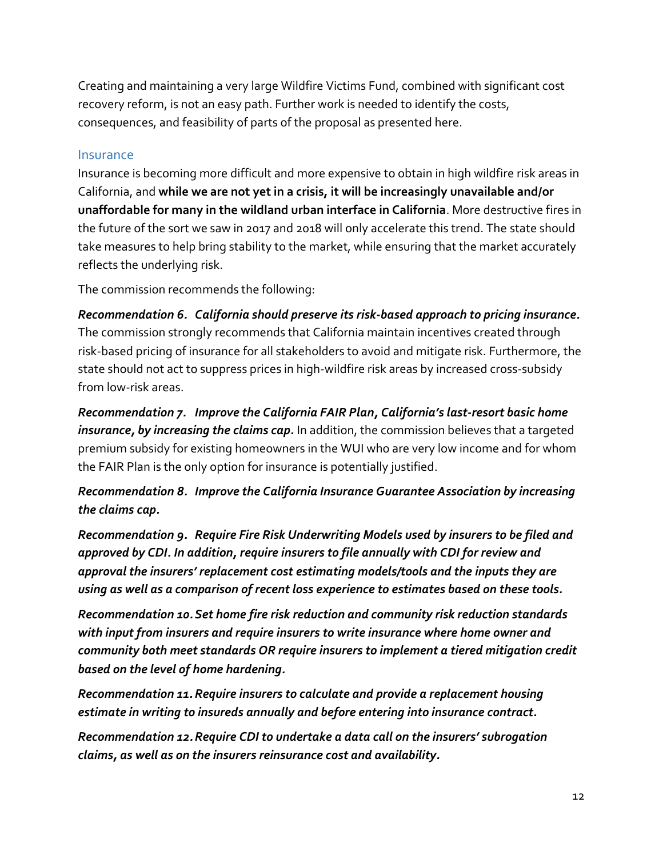Creating and maintaining a very large Wildfire Victims Fund, combined with significant cost recovery reform, is not an easy path. Further work is needed to identify the costs, consequences, and feasibility of parts of the proposal as presented here.

#### Insurance

Insurance is becoming more difficult and more expensive to obtain in high wildfire risk areas in California, and **while we are not yet in a crisis, it will be increasingly unavailable and/or unaffordable for many in the wildland urban interface in California**. More destructive fires in the future of the sort we saw in 2017 and 2018 will only accelerate this trend. The state should take measures to help bring stability to the market, while ensuring that the market accurately reflects the underlying risk.

The commission recommends the following:

*Recommendation 6. California should preserve its risk-based approach to pricing insurance.* The commission strongly recommends that California maintain incentives created through risk-based pricing of insurance for all stakeholders to avoid and mitigate risk. Furthermore, the state should not act to suppress prices in high-wildfire risk areas by increased cross-subsidy from low-risk areas.

*Recommendation 7. Improve the California FAIR Plan, California's last-resort basic home insurance, by increasing the claims cap.* In addition, the commission believes that a targeted premium subsidy for existing homeowners in the WUI who are very low income and for whom the FAIR Plan is the only option for insurance is potentially justified.

*Recommendation 8. Improve the California Insurance Guarantee Association by increasing the claims cap.*

*Recommendation 9. Require Fire Risk Underwriting Models used by insurers to be filed and approved by CDI. In addition, require insurers to file annually with CDI for review and approval the insurers' replacement cost estimating models/tools and the inputs they are using as well as a comparison of recent loss experience to estimates based on these tools.* 

*Recommendation 10.Set home fire risk reduction and community risk reduction standards with input from insurers and require insurers to write insurance where home owner and community both meet standards OR require insurers to implement a tiered mitigation credit based on the level of home hardening.*

*Recommendation 11.Require insurers to calculate and provide a replacement housing estimate in writing to insureds annually and before entering into insurance contract.* 

*Recommendation 12.Require CDI to undertake a data call on the insurers' subrogation claims, as well as on the insurers reinsurance cost and availability.*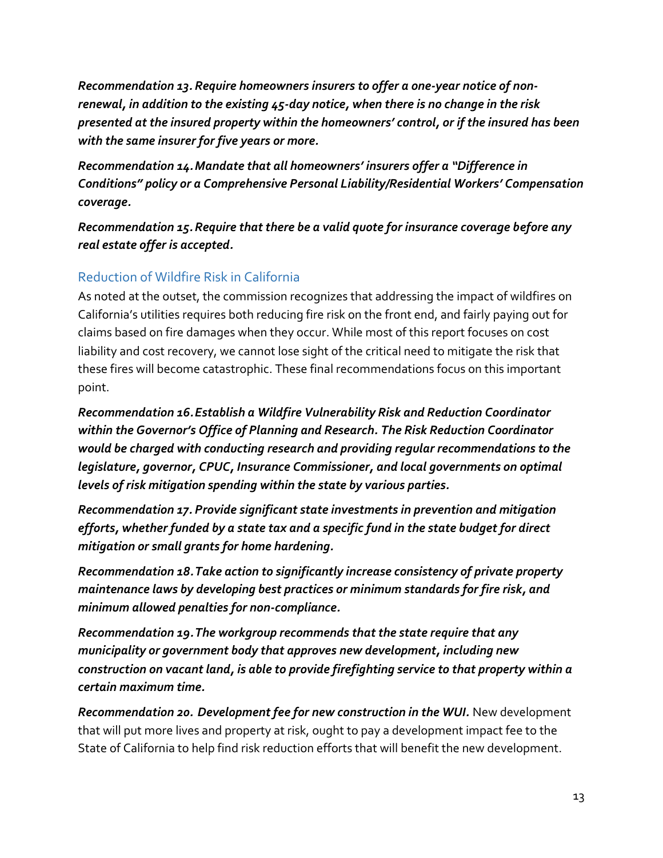*Recommendation 13. Require homeowners insurers to offer a one-year notice of nonrenewal, in addition to the existing 45-day notice, when there is no change in the risk presented at the insured property within the homeowners' control, or if the insured has been with the same insurer for five years or more.*

*Recommendation 14.Mandate that all homeowners' insurers offer a "Difference in Conditions" policy or a Comprehensive Personal Liability/Residential Workers' Compensation coverage.* 

*Recommendation 15.Require that there be a valid quote for insurance coverage before any real estate offer is accepted.*

## Reduction of Wildfire Risk in California

As noted at the outset, the commission recognizes that addressing the impact of wildfires on California's utilities requires both reducing fire risk on the front end, and fairly paying out for claims based on fire damages when they occur. While most of this report focuses on cost liability and cost recovery, we cannot lose sight of the critical need to mitigate the risk that these fires will become catastrophic. These final recommendations focus on this important point.

*Recommendation 16.Establish a Wildfire Vulnerability Risk and Reduction Coordinator within the Governor's Office of Planning and Research. The Risk Reduction Coordinator would be charged with conducting research and providing regular recommendations to the legislature, governor, CPUC, Insurance Commissioner, and local governments on optimal levels of risk mitigation spending within the state by various parties.*

*Recommendation 17. Provide significant state investments in prevention and mitigation efforts, whether funded by a state tax and a specific fund in the state budget for direct mitigation or small grants for home hardening.*

*Recommendation 18.Take action to significantly increase consistency of private property maintenance laws by developing best practices or minimum standards for fire risk, and minimum allowed penalties for non-compliance.*

*Recommendation 19.The workgroup recommends that the state require that any municipality or government body that approves new development, including new construction on vacant land, is able to provide firefighting service to that property within a certain maximum time.*

*Recommendation 20. Development fee for new construction in the WUI.* New development that will put more lives and property at risk, ought to pay a development impact fee to the State of California to help find risk reduction efforts that will benefit the new development.